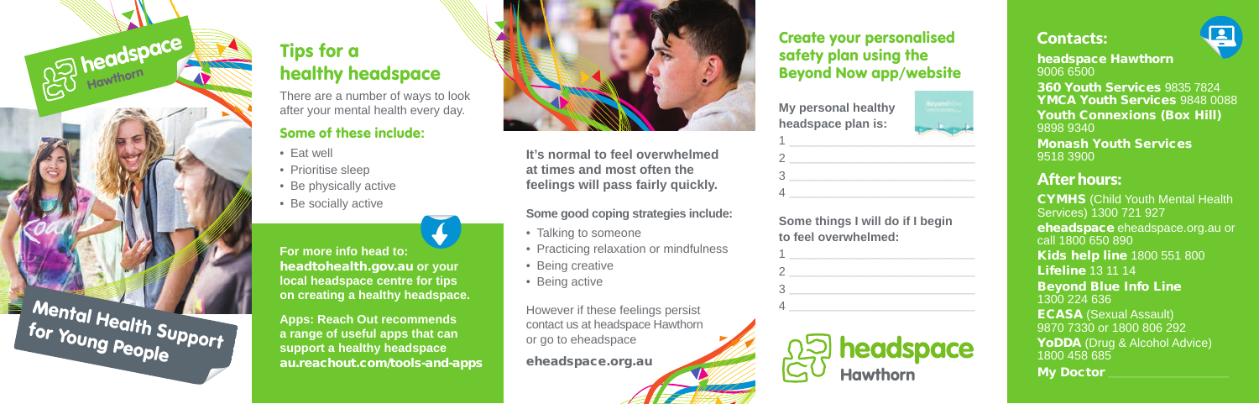

# Tips for a healthy headspace

There are a number of ways to look after your mental health every day.

### Some of these include**:**

- Eat well
- Prioritise sleep
- Be physically active
- Be socially active

**For more info head to:** headtohealth.gov.au **or your local headspace centre for tips on creating a healthy headspace.** 

**Apps: Reach Out recommends a range of useful apps that can support a healthy headspace** au.reachout.com/tools-and-apps



**It's normal to feel overwhelmed at times and most often the feelings will pass fairly quickly.**

#### **Some good coping strategies include:**

- Talking to someone
- Practicing relaxation or mindfulness
- Being creative
- Being active

However if these feelings persist contact us at headspace Hawthorn or go to eheadspace

eheadspace.org.au

### Create your personalised safety plan using the Beyond Now app/website

| My personal healthy<br>headspace plan is: |  |
|-------------------------------------------|--|
|                                           |  |
|                                           |  |
|                                           |  |

**Some things I will do if I begin to feel overwhelmed:**

 $4 \overline{a}$ 

| 2 |                                             |
|---|---------------------------------------------|
| κ |                                             |
|   |                                             |
|   | <b>D</b> headspace<br>J <sub>Hawthorn</sub> |



headspace Hawthorn 9006 6500

360 Youth Services 9835 7824 YMCA Youth Services 9848 0088 Youth Connexions (Box Hill) 9898 9340 Monash Youth Services 9518 3900

## After hours:

CYMHS (Child Youth Mental Health Services) 1300 721 927 eheadspace eheadspace.org.au or call 1800 650 890 Kids help line 1800 551 800 Lifeline 13 11 14 Beyond Blue Info Line 1300 224 636 ECASA (Sexual Assault) 9870 7330 or 1800 806 292 YoDDA (Drug & Alcohol Advice) 1800 458 685 My Doctor